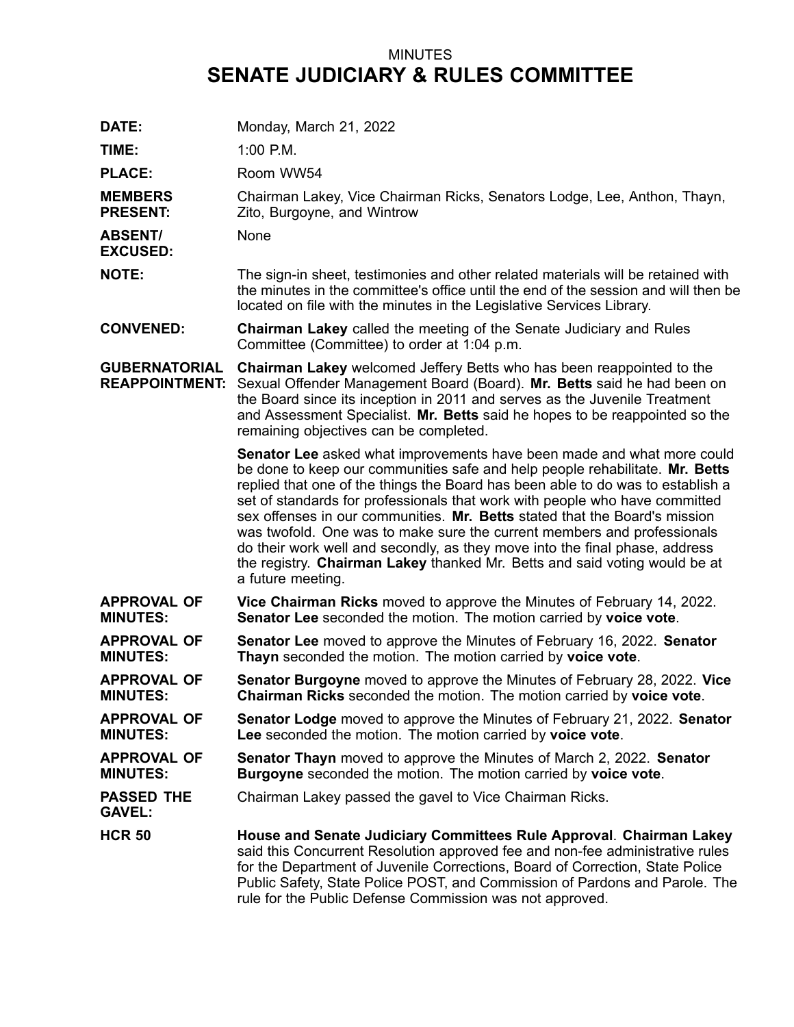## MINUTES **SENATE JUDICIARY & RULES COMMITTEE**

| DATE:                                         | Monday, March 21, 2022                                                                                                                                                                                                                                                                                                                                                                                                                                                                                                                                                                                                                                                     |
|-----------------------------------------------|----------------------------------------------------------------------------------------------------------------------------------------------------------------------------------------------------------------------------------------------------------------------------------------------------------------------------------------------------------------------------------------------------------------------------------------------------------------------------------------------------------------------------------------------------------------------------------------------------------------------------------------------------------------------------|
| TIME:                                         | $1:00$ P.M.                                                                                                                                                                                                                                                                                                                                                                                                                                                                                                                                                                                                                                                                |
| <b>PLACE:</b>                                 | Room WW54                                                                                                                                                                                                                                                                                                                                                                                                                                                                                                                                                                                                                                                                  |
| <b>MEMBERS</b><br><b>PRESENT:</b>             | Chairman Lakey, Vice Chairman Ricks, Senators Lodge, Lee, Anthon, Thayn,<br>Zito, Burgoyne, and Wintrow                                                                                                                                                                                                                                                                                                                                                                                                                                                                                                                                                                    |
| <b>ABSENT/</b><br><b>EXCUSED:</b>             | None                                                                                                                                                                                                                                                                                                                                                                                                                                                                                                                                                                                                                                                                       |
| <b>NOTE:</b>                                  | The sign-in sheet, testimonies and other related materials will be retained with<br>the minutes in the committee's office until the end of the session and will then be<br>located on file with the minutes in the Legislative Services Library.                                                                                                                                                                                                                                                                                                                                                                                                                           |
| <b>CONVENED:</b>                              | <b>Chairman Lakey</b> called the meeting of the Senate Judiciary and Rules<br>Committee (Committee) to order at 1:04 p.m.                                                                                                                                                                                                                                                                                                                                                                                                                                                                                                                                                  |
| <b>GUBERNATORIAL</b><br><b>REAPPOINTMENT:</b> | <b>Chairman Lakey</b> welcomed Jeffery Betts who has been reappointed to the<br>Sexual Offender Management Board (Board). Mr. Betts said he had been on<br>the Board since its inception in 2011 and serves as the Juvenile Treatment<br>and Assessment Specialist. Mr. Betts said he hopes to be reappointed so the<br>remaining objectives can be completed.                                                                                                                                                                                                                                                                                                             |
|                                               | <b>Senator Lee</b> asked what improvements have been made and what more could<br>be done to keep our communities safe and help people rehabilitate. Mr. Betts<br>replied that one of the things the Board has been able to do was to establish a<br>set of standards for professionals that work with people who have committed<br>sex offenses in our communities. Mr. Betts stated that the Board's mission<br>was twofold. One was to make sure the current members and professionals<br>do their work well and secondly, as they move into the final phase, address<br>the registry. Chairman Lakey thanked Mr. Betts and said voting would be at<br>a future meeting. |
| <b>APPROVAL OF</b><br><b>MINUTES:</b>         | Vice Chairman Ricks moved to approve the Minutes of February 14, 2022.<br>Senator Lee seconded the motion. The motion carried by voice vote.                                                                                                                                                                                                                                                                                                                                                                                                                                                                                                                               |
| <b>APPROVAL OF</b><br><b>MINUTES:</b>         | <b>Senator Lee</b> moved to approve the Minutes of February 16, 2022. Senator<br>Thayn seconded the motion. The motion carried by voice vote.                                                                                                                                                                                                                                                                                                                                                                                                                                                                                                                              |
| <b>APPROVAL OF</b><br><b>MINUTES:</b>         | <b>Senator Burgoyne</b> moved to approve the Minutes of February 28, 2022. Vice<br>Chairman Ricks seconded the motion. The motion carried by voice vote.                                                                                                                                                                                                                                                                                                                                                                                                                                                                                                                   |
| <b>APPROVAL OF</b><br><b>MINUTES:</b>         | <b>Senator Lodge</b> moved to approve the Minutes of February 21, 2022. Senator<br>Lee seconded the motion. The motion carried by voice vote.                                                                                                                                                                                                                                                                                                                                                                                                                                                                                                                              |
| <b>APPROVAL OF</b><br><b>MINUTES:</b>         | <b>Senator Thayn</b> moved to approve the Minutes of March 2, 2022. Senator<br><b>Burgoyne</b> seconded the motion. The motion carried by voice vote.                                                                                                                                                                                                                                                                                                                                                                                                                                                                                                                      |
| <b>PASSED THE</b><br><b>GAVEL:</b>            | Chairman Lakey passed the gavel to Vice Chairman Ricks.                                                                                                                                                                                                                                                                                                                                                                                                                                                                                                                                                                                                                    |
| <b>HCR 50</b>                                 | House and Senate Judiciary Committees Rule Approval. Chairman Lakey<br>said this Concurrent Resolution approved fee and non-fee administrative rules<br>for the Department of Juvenile Corrections, Board of Correction, State Police<br>Public Safety, State Police POST, and Commission of Pardons and Parole. The<br>rule for the Public Defense Commission was not approved.                                                                                                                                                                                                                                                                                           |